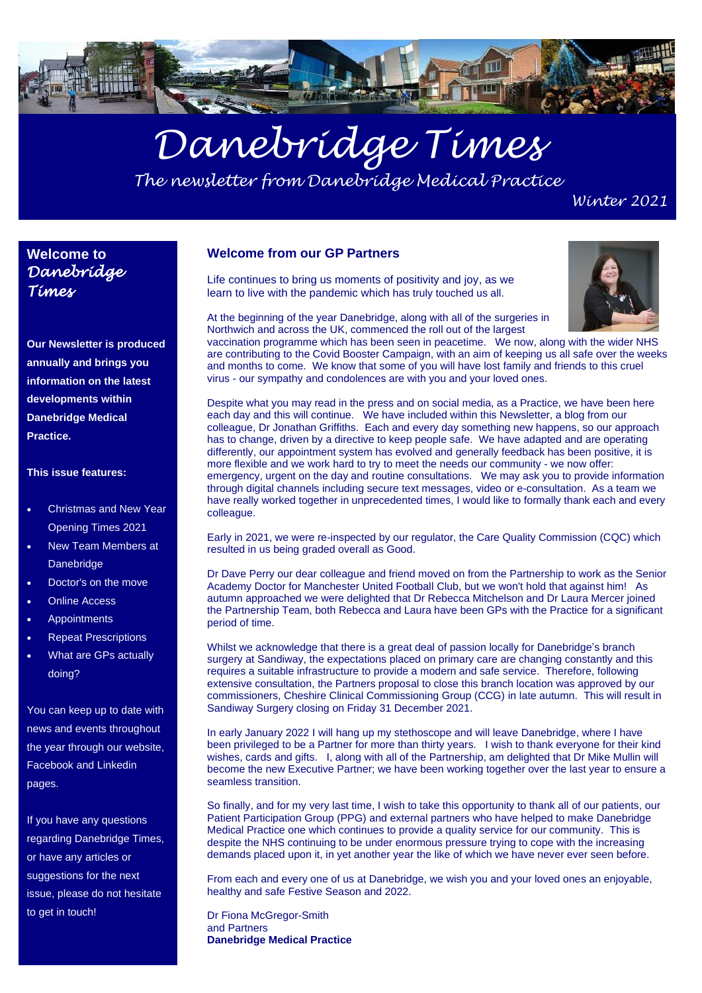

# *Danebridge Times*

*The newsletter from Danebridge Medical Practice*

*Winter 2021*

#### **Welcome to**  *Danebridge Times*

**Our Newsletter is produced annually and brings you information on the latest developments within Danebridge Medical Practice.** 

#### **This issue features:**

- Christmas and New Year Opening Times 2021
- New Team Members at **Danebridge**
- Doctor's on the move
- **Online Access**
- **Appointments**
- Repeat Prescriptions
- What are GPs actually doing?

You can keep up to date with news and events throughout the year through our website, Facebook and Linkedin pages.

If you have any questions regarding Danebridge Times, or have any articles or suggestions for the next issue, please do not hesitate to get in touch!

#### **Welcome from our GP Partners**

Life continues to bring us moments of positivity and joy, as we learn to live with the pandemic which has truly touched us all.



At the beginning of the year Danebridge, along with all of the surgeries in Northwich and across the UK, commenced the roll out of the largest

vaccination programme which has been seen in peacetime. We now, along with the wider NHS are contributing to the Covid Booster Campaign, with an aim of keeping us all safe over the weeks and months to come. We know that some of you will have lost family and friends to this cruel virus - our sympathy and condolences are with you and your loved ones.

Despite what you may read in the press and on social media, as a Practice, we have been here each day and this will continue. We have included within this Newsletter, a blog from our colleague, Dr Jonathan Griffiths. Each and every day something new happens, so our approach has to change, driven by a directive to keep people safe. We have adapted and are operating differently, our appointment system has evolved and generally feedback has been positive, it is more flexible and we work hard to try to meet the needs our community - we now offer: emergency, urgent on the day and routine consultations. We may ask you to provide information through digital channels including secure text messages, video or e-consultation. As a team we have really worked together in unprecedented times. I would like to formally thank each and every colleague.

Early in 2021, we were re-inspected by our regulator, the Care Quality Commission (CQC) which resulted in us being graded overall as Good.

Dr Dave Perry our dear colleague and friend moved on from the Partnership to work as the Senior Academy Doctor for Manchester United Football Club, but we won't hold that against him! As autumn approached we were delighted that Dr Rebecca Mitchelson and Dr Laura Mercer joined the Partnership Team, both Rebecca and Laura have been GPs with the Practice for a significant period of time.

Whilst we acknowledge that there is a great deal of passion locally for Danebridge's branch surgery at Sandiway, the expectations placed on primary care are changing constantly and this requires a suitable infrastructure to provide a modern and safe service. Therefore, following extensive consultation, the Partners proposal to close this branch location was approved by our commissioners, Cheshire Clinical Commissioning Group (CCG) in late autumn. This will result in Sandiway Surgery closing on Friday 31 December 2021.

In early January 2022 I will hang up my stethoscope and will leave Danebridge, where I have been privileged to be a Partner for more than thirty years. I wish to thank everyone for their kind wishes, cards and gifts. I, along with all of the Partnership, am delighted that Dr Mike Mullin will become the new Executive Partner; we have been working together over the last year to ensure a seamless transition.

So finally, and for my very last time, I wish to take this opportunity to thank all of our patients, our Patient Participation Group (PPG) and external partners who have helped to make Danebridge Medical Practice one which continues to provide a quality service for our community. This is despite the NHS continuing to be under enormous pressure trying to cope with the increasing demands placed upon it, in yet another year the like of which we have never ever seen before.

From each and every one of us at Danebridge, we wish you and your loved ones an enjoyable, healthy and safe Festive Season and 2022.

Dr Fiona McGregor-Smith and Partners **Danebridge Medical Practice**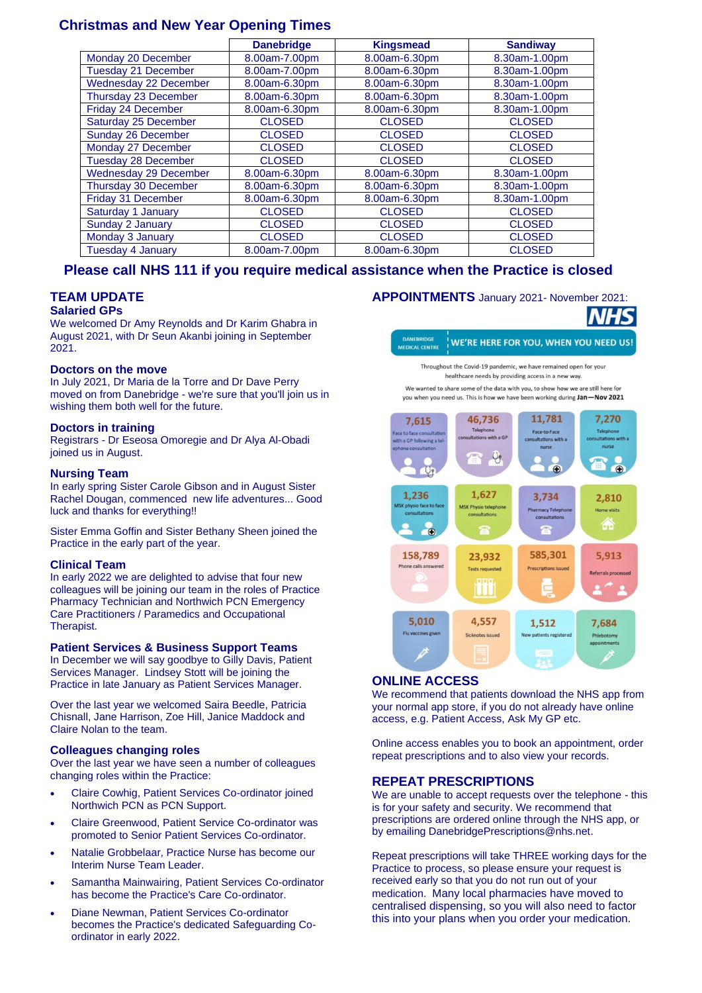#### **Christmas and New Year Opening Times**

|                              | <b>Danebridge</b> | <b>Kingsmead</b> | <b>Sandiway</b> |
|------------------------------|-------------------|------------------|-----------------|
| Monday 20 December           | 8.00am-7.00pm     | 8.00am-6.30pm    | 8.30am-1.00pm   |
| Tuesday 21 December          | 8.00am-7.00pm     | 8.00am-6.30pm    | 8.30am-1.00pm   |
| <b>Wednesday 22 December</b> | 8.00am-6.30pm     | 8.00am-6.30pm    | 8.30am-1.00pm   |
| Thursday 23 December         | 8.00am-6.30pm     | 8.00am-6.30pm    | 8.30am-1.00pm   |
| Friday 24 December           | 8.00am-6.30pm     | 8.00am-6.30pm    | 8.30am-1.00pm   |
| Saturday 25 December         | <b>CLOSED</b>     | <b>CLOSED</b>    | <b>CLOSED</b>   |
| Sunday 26 December           | <b>CLOSED</b>     | <b>CLOSED</b>    | <b>CLOSED</b>   |
| Monday 27 December           | <b>CLOSED</b>     | <b>CLOSED</b>    | <b>CLOSED</b>   |
| <b>Tuesday 28 December</b>   | <b>CLOSED</b>     | <b>CLOSED</b>    | <b>CLOSED</b>   |
| <b>Wednesday 29 December</b> | 8.00am-6.30pm     | 8.00am-6.30pm    | 8.30am-1.00pm   |
| Thursday 30 December         | 8.00am-6.30pm     | 8.00am-6.30pm    | 8.30am-1.00pm   |
| Friday 31 December           | 8.00am-6.30pm     | 8.00am-6.30pm    | 8.30am-1.00pm   |
| Saturday 1 January           | <b>CLOSED</b>     | <b>CLOSED</b>    | <b>CLOSED</b>   |
| Sunday 2 January             | <b>CLOSED</b>     | <b>CLOSED</b>    | <b>CLOSED</b>   |
| Monday 3 January             | <b>CLOSED</b>     | <b>CLOSED</b>    | <b>CLOSED</b>   |
| <b>Tuesday 4 January</b>     | 8.00am-7.00pm     | 8.00am-6.30pm    | <b>CLOSED</b>   |

#### **Please call NHS 111 if you require medical assistance when the Practice is closed**

#### **TEAM UPDATE**

#### **Salaried GPs**

We welcomed Dr Amy Reynolds and Dr Karim Ghabra in August 2021, with Dr Seun Akanbi joining in September 2021.

#### **Doctors on the move**

In July 2021, Dr Maria de la Torre and Dr Dave Perry moved on from Danebridge - we're sure that you'll join us in wishing them both well for the future.

#### **Doctors in training**

Registrars - Dr Eseosa Omoregie and Dr Alya Al-Obadi joined us in August.

#### **Nursing Team**

In early spring Sister Carole Gibson and in August Sister Rachel Dougan, commenced new life adventures... Good luck and thanks for everything!!

Sister Emma Goffin and Sister Bethany Sheen joined the Practice in the early part of the year.

#### **Clinical Team**

In early 2022 we are delighted to advise that four new colleagues will be joining our team in the roles of Practice Pharmacy Technician and Northwich PCN Emergency Care Practitioners / Paramedics and Occupational Therapist.

#### **Patient Services & Business Support Teams**

In December we will say goodbye to Gilly Davis, Patient Services Manager. Lindsey Stott will be joining the Practice in late January as Patient Services Manager.

Over the last year we welcomed Saira Beedle, Patricia Chisnall, Jane Harrison, Zoe Hill, Janice Maddock and Claire Nolan to the team.

#### **Colleagues changing roles**

Over the last year we have seen a number of colleagues changing roles within the Practice:

- Claire Cowhig, Patient Services Co-ordinator joined Northwich PCN as PCN Support.
- Claire Greenwood, Patient Service Co-ordinator was promoted to Senior Patient Services Co-ordinator.
- Natalie Grobbelaar, Practice Nurse has become our Interim Nurse Team Leader.
- Samantha Mainwairing, Patient Services Co-ordinator has become the Practice's Care Co-ordinator.
- Diane Newman, Patient Services Co-ordinator becomes the Practice's dedicated Safeguarding Coordinator in early 2022.

**APPOINTMENTS** January 2021- November 2021:

#### DANEBRIDGE WE'RE HERE FOR YOU, WHEN YOU NEED US! MEDICAL CENTRE

Throughout the Covid-19 pandemic, we have remained open for your healthcare needs by providing access in a new way

We wanted to share some of the data with you, to show how we are still here for you when you need us. This is how we have been working during Jan-Nov 2021



#### **ONLINE ACCESS**

We recommend that patients download the NHS app from your normal app store, if you do not already have online access, e.g. Patient Access, Ask My GP etc.

Online access enables you to book an appointment, order repeat prescriptions and to also view your records.

#### **REPEAT PRESCRIPTIONS**

We are unable to accept requests over the telephone - this is for your safety and security. We recommend that prescriptions are ordered online through the NHS app, or by emailing DanebridgePrescriptions@nhs.net.

Repeat prescriptions will take THREE working days for the Practice to process, so please ensure your request is received early so that you do not run out of your medication. Many local pharmacies have moved to centralised dispensing, so you will also need to factor this into your plans when you order your medication.